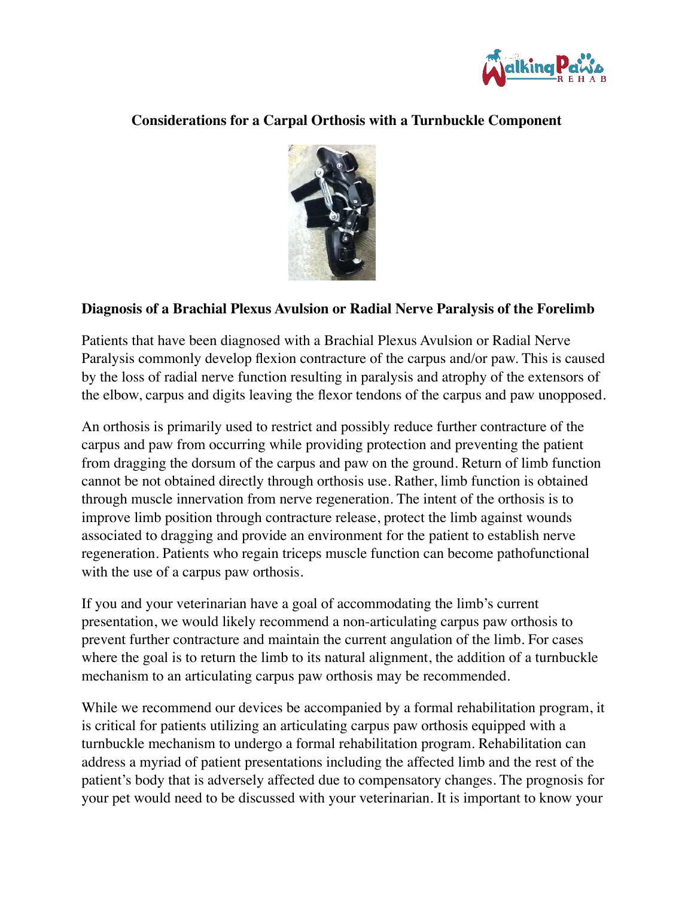

## **Considerations for a Carpal Orthosis with a Turnbuckle Component**



## **Diagnosis of a Brachial Plexus Avulsion or Radial Nerve Paralysis of the Forelimb**

Patients that have been diagnosed with a Brachial Plexus Avulsion or Radial Nerve Paralysis commonly develop flexion contracture of the carpus and/or paw. This is caused by the loss of radial nerve function resulting in paralysis and atrophy of the extensors of the elbow, carpus and digits leaving the flexor tendons of the carpus and paw unopposed.

An orthosis is primarily used to restrict and possibly reduce further contracture of the carpus and paw from occurring while providing protection and preventing the patient from dragging the dorsum of the carpus and paw on the ground. Return of limb function cannot be not obtained directly through orthosis use. Rather, limb function is obtained through muscle innervation from nerve regeneration. The intent of the orthosis is to improve limb position through contracture release, protect the limb against wounds associated to dragging and provide an environment for the patient to establish nerve regeneration. Patients who regain triceps muscle function can become pathofunctional with the use of a carpus paw orthosis.

If you and your veterinarian have a goal of accommodating the limb's current presentation, we would likely recommend a non-articulating carpus paw orthosis to prevent further contracture and maintain the current angulation of the limb. For cases where the goal is to return the limb to its natural alignment, the addition of a turnbuckle mechanism to an articulating carpus paw orthosis may be recommended.

While we recommend our devices be accompanied by a formal rehabilitation program, it is critical for patients utilizing an articulating carpus paw orthosis equipped with a turnbuckle mechanism to undergo a formal rehabilitation program. Rehabilitation can address a myriad of patient presentations including the affected limb and the rest of the patient's body that is adversely affected due to compensatory changes. The prognosis for your pet would need to be discussed with your veterinarian. It is important to know your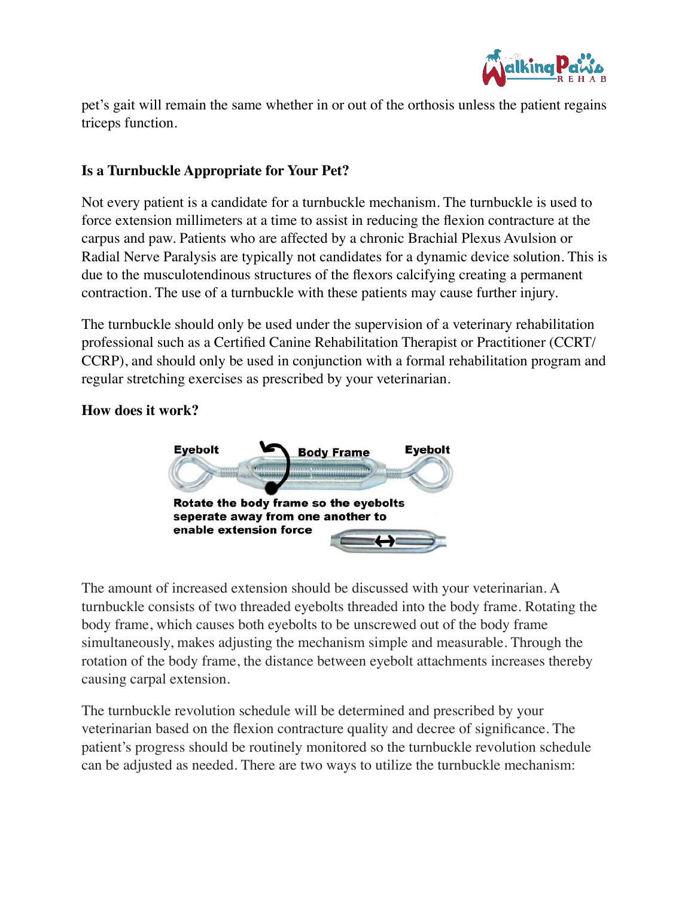

pet's gait will remain the same whether in or out of the orthosis unless the patient regains triceps function.

## **Is a Turnbuckle Appropriate for Your Pet?**

Not every patient is a candidate for a turnbuckle mechanism. The turnbuckle is used to force extension millimeters at a time to assist in reducing the flexion contracture at the carpus and paw. Patients who are affected by a chronic Brachial Plexus Avulsion or Radial Nerve Paralysis are typically not candidates for a dynamic device solution. This is due to the musculotendinous structures of the flexors calcifying creating a permanent contraction. The use of a turnbuckle with these patients may cause further injury.

The turnbuckle should only be used under the supervision of a veterinary rehabilitation professional such as a Certified Canine Rehabilitation Therapist or Practitioner (CCRT/ CCRP), and should only be used in conjunction with a formal rehabilitation program and regular stretching exercises as prescribed by your veterinarian.

## **How does it work?**



The amount of increased extension should be discussed with your veterinarian. A turnbuckle consists of two threaded eyebolts threaded into the body frame. Rotating the body frame, which causes both eyebolts to be unscrewed out of the body frame simultaneously, makes adjusting the mechanism simple and measurable. Through the rotation of the body frame, the distance between eyebolt attachments increases thereby causing carpal extension.

The turnbuckle revolution schedule will be determined and prescribed by your veterinarian based on the flexion contracture quality and decree of significance. The patient's progress should be routinely monitored so the turnbuckle revolution schedule can be adjusted as needed. There are two ways to utilize the turnbuckle mechanism: